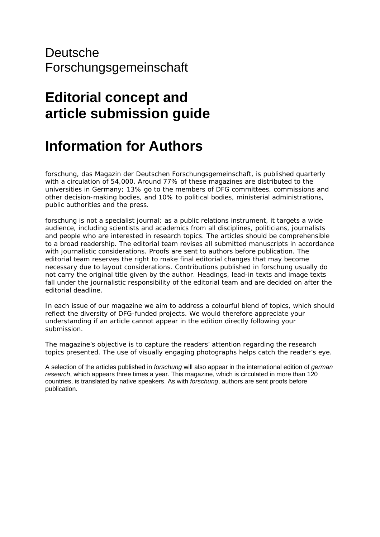## Deutsche Forschungsgemeinschaft

## **Editorial concept and article submission guide**

## **Information for Authors**

*forschung*, das Magazin der Deutschen Forschungsgemeinschaft, is published quarterly with a circulation of 54,000. Around 77% of these magazines are distributed to the universities in Germany; 13% go to the members of DFG committees, commissions and other decision-making bodies, and 10% to political bodies, ministerial administrations, public authorities and the press.

*forschung* is not a specialist journal; as a public relations instrument, it targets a wide audience, including scientists and academics from all disciplines, politicians, journalists and people who are interested in research topics. The articles should be comprehensible to a broad readership. The editorial team revises all submitted manuscripts in accordance with journalistic considerations. Proofs are sent to authors before publication. The editorial team reserves the right to make final editorial changes that may become necessary due to layout considerations. Contributions published in *forschung* usually do not carry the original title given by the author. Headings, lead-in texts and image texts fall under the journalistic responsibility of the editorial team and are decided on after the editorial deadline.

In each issue of our magazine we aim to address a colourful blend of topics, which should reflect the diversity of DFG-funded projects. We would therefore appreciate your understanding if an article cannot appear in the edition directly following your submission.

The magazine's objective is to capture the readers' attention regarding the research topics presented. The use of visually engaging photographs helps catch the reader's eye.

A selection of the articles published in *forschung* will also appear in the international edition of *german research*, which appears three times a year. This magazine, which is circulated in more than 120 countries, is translated by native speakers. As with *forschung*, authors are sent proofs before publication.